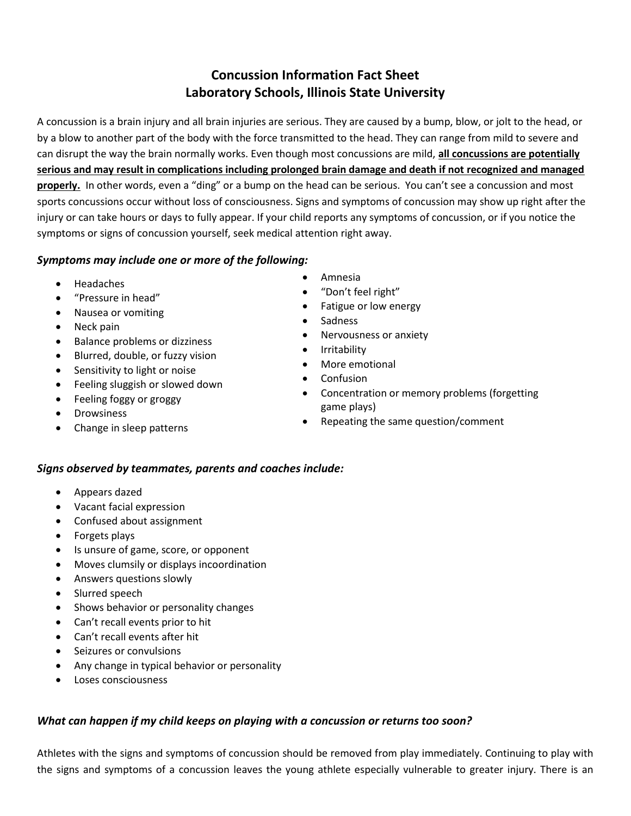# **Concussion Information Fact Sheet Laboratory Schools, Illinois State University**

A concussion is a brain injury and all brain injuries are serious. They are caused by a bump, blow, or jolt to the head, or by a blow to another part of the body with the force transmitted to the head. They can range from mild to severe and can disrupt the way the brain normally works. Even though most concussions are mild, **all concussions are potentially serious and may result in complications including prolonged brain damage and death if not recognized and managed properly.** In other words, even a "ding" or a bump on the head can be serious. You can't see a concussion and most sports concussions occur without loss of consciousness. Signs and symptoms of concussion may show up right after the injury or can take hours or days to fully appear. If your child reports any symptoms of concussion, or if you notice the symptoms or signs of concussion yourself, seek medical attention right away.

### *Symptoms may include one or more of the following:*

- Headaches
- "Pressure in head"
- Nausea or vomiting
- Neck pain
- Balance problems or dizziness
- Blurred, double, or fuzzy vision
- Sensitivity to light or noise
- Feeling sluggish or slowed down
- Feeling foggy or groggy
- Drowsiness
- Change in sleep patterns
- Amnesia
- "Don't feel right"
- Fatigue or low energy
- Sadness
- Nervousness or anxiety
- Irritability
- More emotional
- **Confusion**
- Concentration or memory problems (forgetting game plays)
- Repeating the same question/comment

#### *Signs observed by teammates, parents and coaches include:*

- Appears dazed
- Vacant facial expression
- Confused about assignment
- Forgets plays
- Is unsure of game, score, or opponent
- Moves clumsily or displays incoordination
- Answers questions slowly
- Slurred speech
- Shows behavior or personality changes
- Can't recall events prior to hit
- Can't recall events after hit
- Seizures or convulsions
- Any change in typical behavior or personality
- Loses consciousness

### *What can happen if my child keeps on playing with a concussion or returns too soon?*

Athletes with the signs and symptoms of concussion should be removed from play immediately. Continuing to play with the signs and symptoms of a concussion leaves the young athlete especially vulnerable to greater injury. There is an